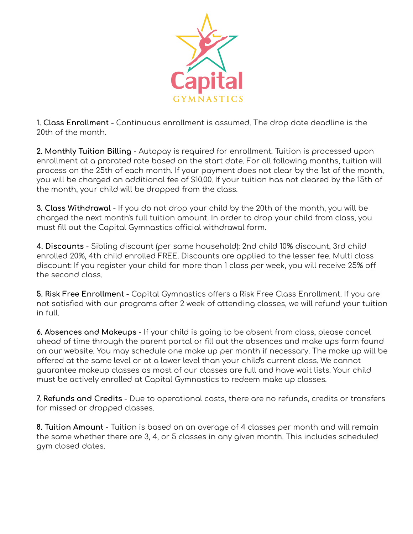

**1. Class Enrollment** - Continuous enrollment is assumed. The drop date deadline is the 20th of the month.

**2. Monthly Tuition Billing** - Autopay is required for enrollment. Tuition is processed upon enrollment at a prorated rate based on the start date. For all following months, tuition will process on the 25th of each month. If your payment does not clear by the 1st of the month, you will be charged an additional fee of \$10.00. If your tuition has not cleared by the 15th of the month, your child will be dropped from the class.

**3. Class Withdrawal** - If you do not drop your child by the 20th of the month, you will be charged the next month's full tuition amount. In order to drop your child from class, you must fill out the Capital Gymnastics official withdrawal form.

**4. Discounts** - Sibling discount (per same household): 2nd child 10% discount, 3rd child enrolled 20%, 4th child enrolled FREE. Discounts are applied to the lesser fee. Multi class discount: If you register your child for more than 1 class per week, you will receive 25% o the second class.

**5. Risk Free Enrollment** - Capital Gymnastics offers a Risk Free Class Enrollment. If you are not satisfied with our programs after 2 week of attending classes, we will refund your tuition in full.

**6. Absences and Makeups** - If your child is going to be absent from class, please cancel ahead of time through the parent portal or fill out the absences and make ups form found on our website. You may schedule one make up per month if necessary. The make up will be offered at the same level or at a lower level than your child's current class. We cannot guarantee makeup classes as most of our classes are full and have wait lists. Your child must be actively enrolled at Capital Gymnastics to redeem make up classes.

**7. Refunds and Credits** - Due to operational costs, there are no refunds, credits or transfers for missed or dropped classes.

**8. Tuition Amount** - Tuition is based on an average of 4 classes per month and will remain the same whether there are 3, 4, or 5 classes in any given month. This includes scheduled gym closed dates.